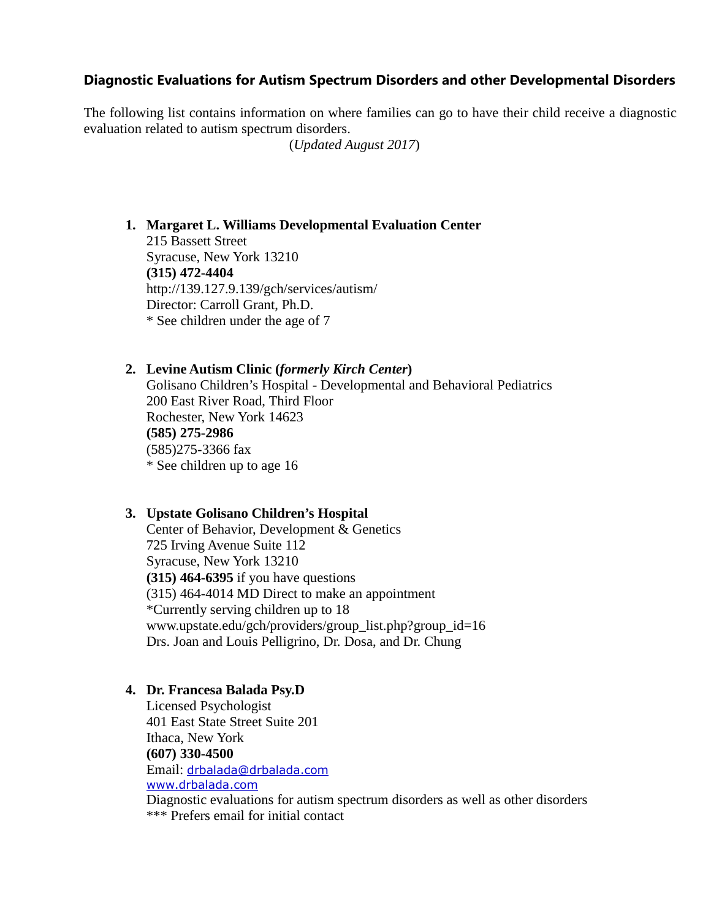# **Diagnostic Evaluations for Autism Spectrum Disorders and other Developmental Disorders**

The following list contains information on where families can go to have their child receive a diagnostic evaluation related to autism spectrum disorders.

(*Updated August 2017*)

## **1. Margaret L. Williams Developmental Evaluation Center**

215 Bassett Street Syracuse, New York 13210 **(315) 472-4404** http://139.127.9.139/gch/services/autism/ Director: Carroll Grant, Ph.D. \* See children under the age of 7

### **2. Levine Autism Clinic (***formerly Kirch Center***)**

Golisano Children's Hospital - Developmental and Behavioral Pediatrics 200 East River Road, Third Floor Rochester, New York 14623 **(585) 275-2986** (585)275-3366 fax \* See children up to age 16

### **3. Upstate Golisano Children's Hospital**

Center of Behavior, Development & Genetics 725 Irving Avenue Suite 112 Syracuse, New York 13210 **(315) 464-6395** if you have questions (315) 464-4014 MD Direct to make an appointment \*Currently serving children up to 18 www.upstate.edu/gch/providers/group\_list.php?group\_id=16 Drs. Joan and Louis Pelligrino, Dr. Dosa, and Dr. Chung

### **4. Dr. Francesa Balada Psy.D**

Licensed Psychologist 401 East State Street Suite 201 Ithaca, New York **(607) 330-4500** Email: drbalada@drbalada.com www.drbalada.com Diagnostic evaluations for autism spectrum disorders as well as other disorders \*\*\* Prefers email for initial contact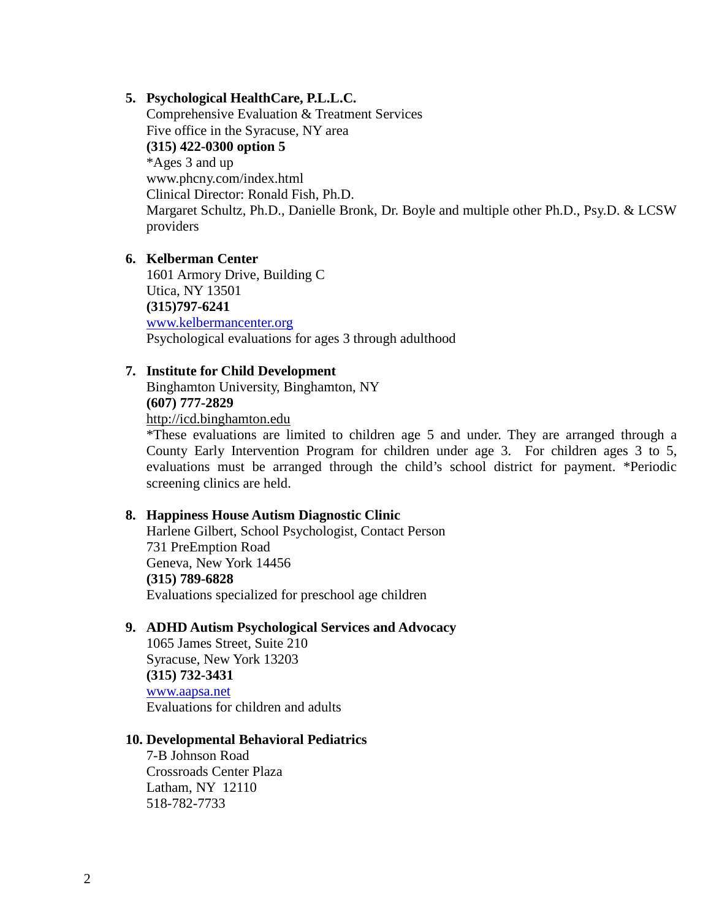## **5. Psychological HealthCare, P.L.L.C.**

Comprehensive Evaluation & Treatment Services Five office in the Syracuse, NY area **(315) 422-0300 option 5** \*Ages 3 and up www.phcny.com/index.html Clinical Director: Ronald Fish, Ph.D. Margaret Schultz, Ph.D., Danielle Bronk, Dr. Boyle and multiple other Ph.D., Psy.D. & LCSW providers

### **6. Kelberman Center**

1601 Armory Drive, Building C Utica, NY 13501 **(315)797-6241** www.kelbermancenter.org Psychological evaluations for ages 3 through adulthood

## **7. Institute for Child Development**

Binghamton University, Binghamton, NY **(607) 777-2829** http://icd.binghamton.edu

\*These evaluations are limited to children age 5 and under. They are arranged through a County Early Intervention Program for children under age 3. For children ages 3 to 5, evaluations must be arranged through the child's school district for payment. \*Periodic screening clinics are held.

### **8. Happiness House Autism Diagnostic Clinic**

Harlene Gilbert, School Psychologist, Contact Person 731 PreEmption Road Geneva, New York 14456 **(315) 789-6828** Evaluations specialized for preschool age children

## **9. ADHD Autism Psychological Services and Advocacy**

1065 James Street, Suite 210 Syracuse, New York 13203 **(315) 732-3431** www.aapsa.net Evaluations for children and adults

#### **10. Developmental Behavioral Pediatrics**

7-B Johnson Road Crossroads Center Plaza Latham, NY 12110 518-782-7733